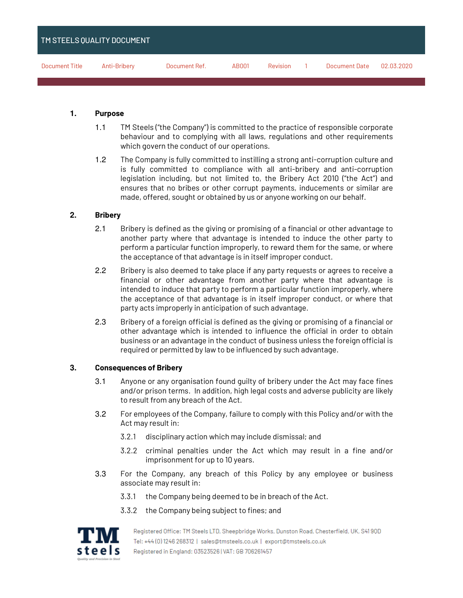| TM STEELS QUALITY DOCUMENT <sup>1</sup> |              |               |       |          |               |            |
|-----------------------------------------|--------------|---------------|-------|----------|---------------|------------|
| Document Title                          | Anti-Bribery | Document Ref. | AB001 | Revision | Document Date | 02.03.2020 |

#### **1. Purpose**

- 1.1 TM Steels ("the Company") is committed to the practice of responsible corporate behaviour and to complying with all laws, regulations and other requirements which govern the conduct of our operations.
- 1.2 The Company is fully committed to instilling a strong anti-corruption culture and is fully committed to compliance with all anti-bribery and anti-corruption legislation including, but not limited to, the Bribery Act 2010 ("the Act") and ensures that no bribes or other corrupt payments, inducements or similar are made, offered, sought or obtained by us or anyone working on our behalf.

## **2. Bribery**

- 2.1 Bribery is defined as the giving or promising of a financial or other advantage to another party where that advantage is intended to induce the other party to perform a particular function improperly, to reward them for the same, or where the acceptance of that advantage is in itself improper conduct.
- 2.2 Bribery is also deemed to take place if any party requests or agrees to receive a financial or other advantage from another party where that advantage is intended to induce that party to perform a particular function improperly, where the acceptance of that advantage is in itself improper conduct, or where that party acts improperly in anticipation of such advantage.
- 2.3 Bribery of a foreign official is defined as the giving or promising of a financial or other advantage which is intended to influence the official in order to obtain business or an advantage in the conduct of business unless the foreign official is required or permitted by law to be influenced by such advantage.

#### **3. Consequences of Bribery**

- 3.1 Anyone or any organisation found guilty of bribery under the Act may face fines and/or prison terms. In addition, high legal costs and adverse publicity are likely to result from any breach of the Act.
- 3.2 For employees of the Company, failure to comply with this Policy and/or with the Act may result in:
	- 3.2.1 disciplinary action which may include dismissal; and
	- 3.2.2 criminal penalties under the Act which may result in a fine and/or imprisonment for up to 10 years.
- 3.3 For the Company, any breach of this Policy by any employee or business associate may result in:
	- 3.3.1 the Company being deemed to be in breach of the Act.
	- 3.3.2 the Company being subject to fines; and



Registered Office: TM Steels LTD, Sheepbridge Works, Dunston Road, Chesterfield, UK, S41 90D Tel: +44(0)1246 268312 | sales@tmsteels.co.uk | export@tmsteels.co.uk Registered in England: 03523526 | VAT: GB 706261457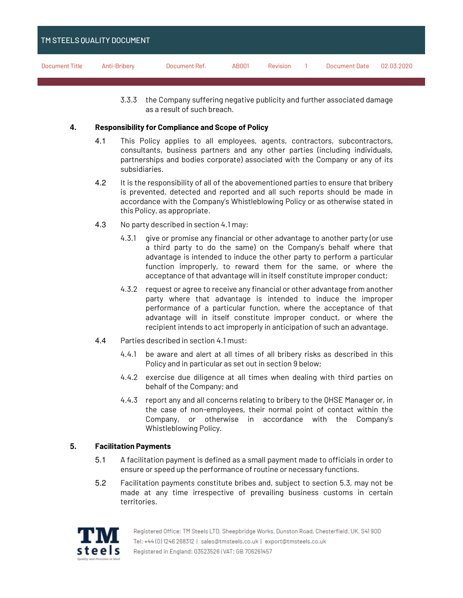| <b>TM STEELS QUALITY DOCUMENT</b> |              |               |       |          |                      |            |
|-----------------------------------|--------------|---------------|-------|----------|----------------------|------------|
| Document Title                    | Anti-Bribery | Document Ref. | AB001 | Revision | <b>Document Date</b> | 02.03.2020 |

3.3.3 the Company suffering negative publicity and further associated damage as a result of such breach.

## **4. Responsibility for Compliance and Scope of Policy**

- 4.1 This Policy applies to all employees, agents, contractors, subcontractors, consultants, business partners and any other parties (including individuals, partnerships and bodies corporate) associated with the Company or any of its subsidiaries.
- 4.2 It is the responsibility of all of the abovementioned parties to ensure that bribery is prevented, detected and reported and all such reports should be made in accordance with the Company's Whistleblowing Policy or as otherwise stated in this Policy, as appropriate.
- 4.3 No party described in section 4.1 may:
	- 4.3.1 give or promise any financial or other advantage to another party (or use a third party to do the same) on the Company's behalf where that advantage is intended to induce the other party to perform a particular function improperly, to reward them for the same, or where the acceptance of that advantage will in itself constitute improper conduct;
	- 4.3.2 request or agree to receive any financial or other advantage from another party where that advantage is intended to induce the improper performance of a particular function, where the acceptance of that advantage will in itself constitute improper conduct, or where the recipient intends to act improperly in anticipation of such an advantage.
- 4.4 Parties described in section 4.1 must:
	- 4.4.1 be aware and alert at all times of all bribery risks as described in this Policy and in particular as set out in section 9 below;
	- 4.4.2 exercise due diligence at all times when dealing with third parties on behalf of the Company; and
	- 4.4.3 report any and all concerns relating to bribery to the QHSE Manager or, in the case of non-employees, their normal point of contact within the Company, or otherwise in accordance with the Company's Whistleblowing Policy.

# **5. Facilitation Payments**

- 5.1 A facilitation payment is defined as a small payment made to officials in order to ensure or speed up the performance of routine or necessary functions.
- 5.2 Facilitation payments constitute bribes and, subject to section 5.3, may not be made at any time irrespective of prevailing business customs in certain territories.

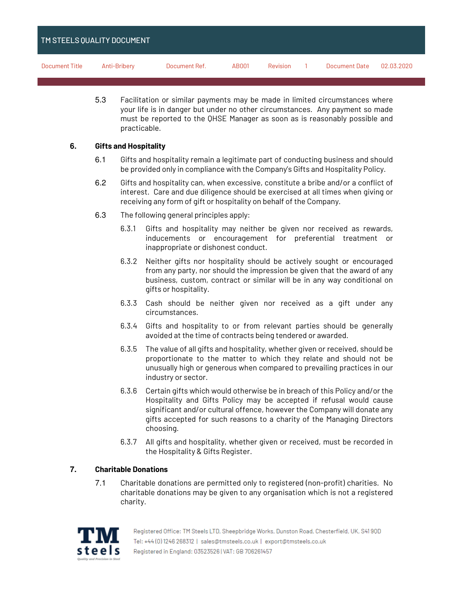| <b>TM STEELS QUALITY DOCUMENT</b> |              |               |       |          |               |            |
|-----------------------------------|--------------|---------------|-------|----------|---------------|------------|
| Document Title                    | Anti-Bribery | Document Ref. | AB001 | Revision | Document Date | 02.03.2020 |

5.3 Facilitation or similar payments may be made in limited circumstances where your life is in danger but under no other circumstances. Any payment so made must be reported to the QHSE Manager as soon as is reasonably possible and practicable.

### **6. Gifts and Hospitality**

- 6.1 Gifts and hospitality remain a legitimate part of conducting business and should be provided only in compliance with the Company's Gifts and Hospitality Policy.
- 6.2 Gifts and hospitality can, when excessive, constitute a bribe and/or a conflict of interest. Care and due diligence should be exercised at all times when giving or receiving any form of gift or hospitality on behalf of the Company.
- 6.3 The following general principles apply:
	- 6.3.1 Gifts and hospitality may neither be given nor received as rewards, inducements or encouragement for preferential treatment or inappropriate or dishonest conduct.
	- 6.3.2 Neither gifts nor hospitality should be actively sought or encouraged from any party, nor should the impression be given that the award of any business, custom, contract or similar will be in any way conditional on gifts or hospitality.
	- 6.3.3 Cash should be neither given nor received as a gift under any circumstances.
	- 6.3.4 Gifts and hospitality to or from relevant parties should be generally avoided at the time of contracts being tendered or awarded.
	- 6.3.5 The value of all gifts and hospitality, whether given or received, should be proportionate to the matter to which they relate and should not be unusually high or generous when compared to prevailing practices in our industry or sector.
	- 6.3.6 Certain gifts which would otherwise be in breach of this Policy and/or the Hospitality and Gifts Policy may be accepted if refusal would cause significant and/or cultural offence, however the Company will donate any gifts accepted for such reasons to a charity of the Managing Directors choosing.
	- 6.3.7 All gifts and hospitality, whether given or received, must be recorded in the Hospitality & Gifts Register.

# **7. Charitable Donations**

7.1 Charitable donations are permitted only to registered (non-profit) charities. No charitable donations may be given to any organisation which is not a registered charity.



Registered Office: TM Steels LTD, Sheepbridge Works, Dunston Road, Chesterfield, UK, S4190D Tel: +44(0)1246 268312 | sales@tmsteels.co.uk | export@tmsteels.co.uk Registered in England: 03523526 | VAT: GB 706261457